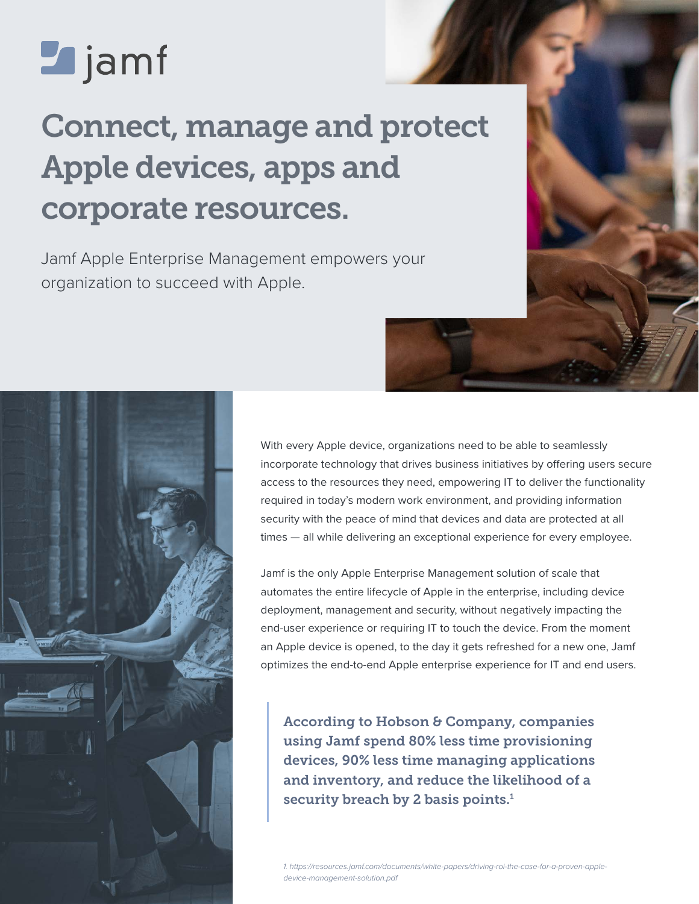# **Z** jamf

## Connect, manage and protect Apple devices, apps and corporate resources.

Jamf Apple Enterprise Management empowers your organization to succeed with Apple.

> With every Apple device, organizations need to be able to seamlessly incorporate technology that drives business initiatives by offering users secure access to the resources they need, empowering IT to deliver the functionality required in today's modern work environment, and providing information security with the peace of mind that devices and data are protected at all times — all while delivering an exceptional experience for every employee.

Jamf is the only Apple Enterprise Management solution of scale that automates the entire lifecycle of Apple in the enterprise, including device deployment, management and security, without negatively impacting the end-user experience or requiring IT to touch the device. From the moment an Apple device is opened, to the day it gets refreshed for a new one, Jamf optimizes the end-to-end Apple enterprise experience for IT and end users.

According to Hobson & Company, companies using Jamf spend 80% less time provisioning devices, 90% less time managing applications and inventory, and reduce the likelihood of a security breach by 2 basis points. $<sup>1</sup>$ </sup>